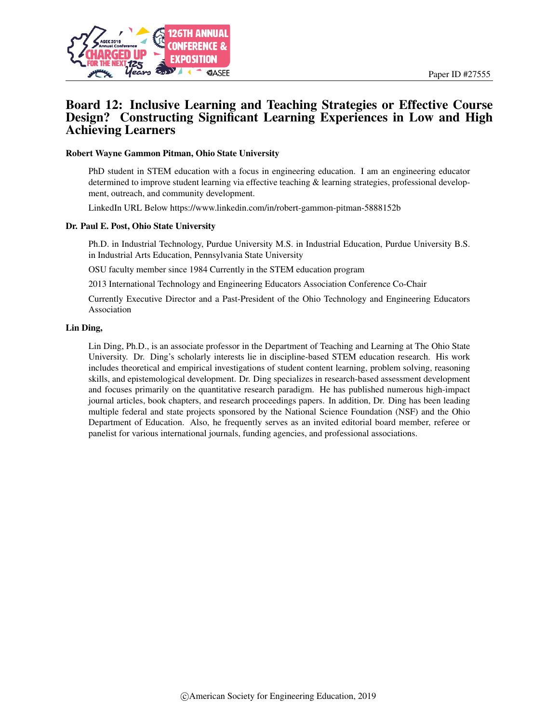

# Board 12: Inclusive Learning and Teaching Strategies or Effective Course Design? Constructing Significant Learning Experiences in Low and High Achieving Learners

#### Robert Wayne Gammon Pitman, Ohio State University

PhD student in STEM education with a focus in engineering education. I am an engineering educator determined to improve student learning via effective teaching & learning strategies, professional development, outreach, and community development.

LinkedIn URL Below https://www.linkedin.com/in/robert-gammon-pitman-5888152b

#### Dr. Paul E. Post, Ohio State University

Ph.D. in Industrial Technology, Purdue University M.S. in Industrial Education, Purdue University B.S. in Industrial Arts Education, Pennsylvania State University

OSU faculty member since 1984 Currently in the STEM education program

2013 International Technology and Engineering Educators Association Conference Co-Chair

Currently Executive Director and a Past-President of the Ohio Technology and Engineering Educators Association

#### Lin Ding,

Lin Ding, Ph.D., is an associate professor in the Department of Teaching and Learning at The Ohio State University. Dr. Ding's scholarly interests lie in discipline-based STEM education research. His work includes theoretical and empirical investigations of student content learning, problem solving, reasoning skills, and epistemological development. Dr. Ding specializes in research-based assessment development and focuses primarily on the quantitative research paradigm. He has published numerous high-impact journal articles, book chapters, and research proceedings papers. In addition, Dr. Ding has been leading multiple federal and state projects sponsored by the National Science Foundation (NSF) and the Ohio Department of Education. Also, he frequently serves as an invited editorial board member, referee or panelist for various international journals, funding agencies, and professional associations.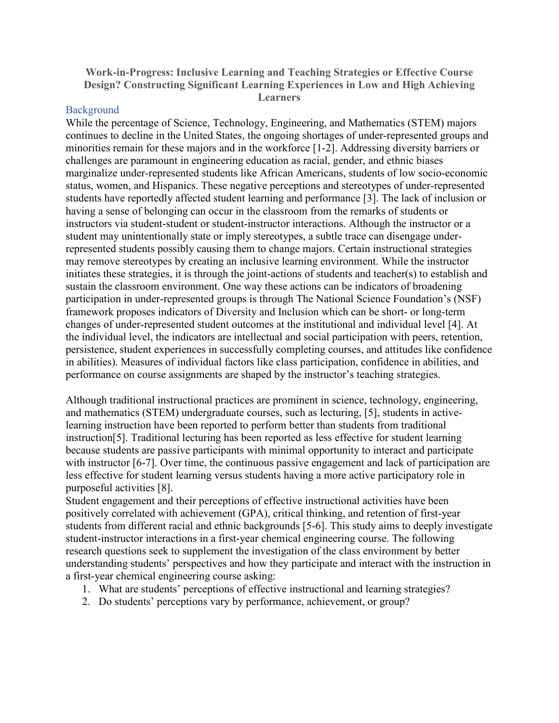**Work-in-Progress: Inclusive Learning and Teaching Strategies or Effective Course Design? Constructing Significant Learning Experiences in Low and High Achieving Learners**

### **Background**

While the percentage of Science, Technology, Engineering, and Mathematics (STEM) majors continues to decline in the United States, the ongoing shortages of under-represented groups and minorities remain for these majors and in the workforce [1-2]. Addressing diversity barriers or challenges are paramount in engineering education as racial, gender, and ethnic biases marginalize under-represented students like African Americans, students of low socio-economic status, women, and Hispanics. These negative perceptions and stereotypes of under-represented students have reportedly affected student learning and performance [3]. The lack of inclusion or having a sense of belonging can occur in the classroom from the remarks of students or instructors via student-student or student-instructor interactions. Although the instructor or a student may unintentionally state or imply stereotypes, a subtle trace can disengage underrepresented students possibly causing them to change majors. Certain instructional strategies may remove stereotypes by creating an inclusive learning environment. While the instructor initiates these strategies, it is through the joint-actions of students and teacher(s) to establish and sustain the classroom environment. One way these actions can be indicators of broadening participation in under-represented groups is through The National Science Foundation's (NSF) framework proposes indicators of Diversity and Inclusion which can be short- or long-term changes of under-represented student outcomes at the institutional and individual level [4]. At the individual level, the indicators are intellectual and social participation with peers, retention, persistence, student experiences in successfully completing courses, and attitudes like confidence in abilities). Measures of individual factors like class participation, confidence in abilities, and performance on course assignments are shaped by the instructor's teaching strategies.

Although traditional instructional practices are prominent in science, technology, engineering, and mathematics (STEM) undergraduate courses, such as lecturing, [5], students in activelearning instruction have been reported to perform better than students from traditional instruction[5]. Traditional lecturing has been reported as less effective for student learning because students are passive participants with minimal opportunity to interact and participate with instructor [6-7]. Over time, the continuous passive engagement and lack of participation are less effective for student learning versus students having a more active participatory role in purposeful activities [8].

Student engagement and their perceptions of effective instructional activities have been positively correlated with achievement (GPA), critical thinking, and retention of first-year students from different racial and ethnic backgrounds [5-6]. This study aims to deeply investigate student-instructor interactions in a first-year chemical engineering course. The following research questions seek to supplement the investigation of the class environment by better understanding students' perspectives and how they participate and interact with the instruction in a first-year chemical engineering course asking:

- 1. What are students' perceptions of effective instructional and learning strategies?
- 2. Do students' perceptions vary by performance, achievement, or group?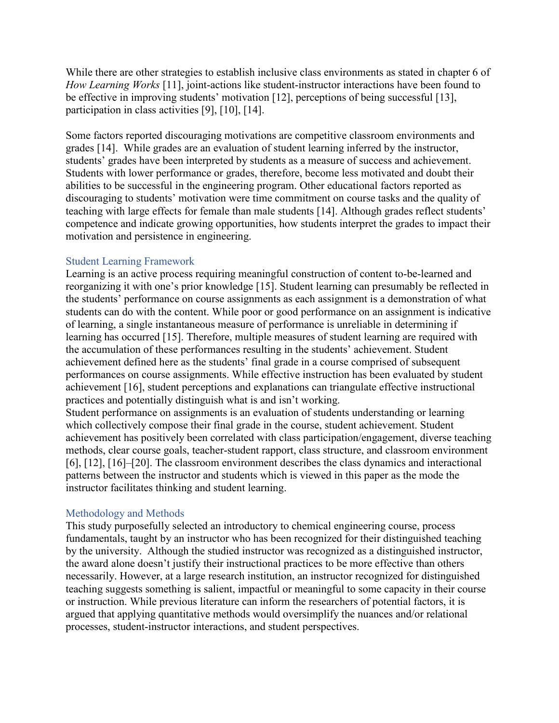While there are other strategies to establish inclusive class environments as stated in chapter 6 of *How Learning Works* [11], joint-actions like student-instructor interactions have been found to be effective in improving students' motivation [12], perceptions of being successful [13], participation in class activities [9], [10], [14].

Some factors reported discouraging motivations are competitive classroom environments and grades [14]. While grades are an evaluation of student learning inferred by the instructor, students' grades have been interpreted by students as a measure of success and achievement. Students with lower performance or grades, therefore, become less motivated and doubt their abilities to be successful in the engineering program. Other educational factors reported as discouraging to students' motivation were time commitment on course tasks and the quality of teaching with large effects for female than male students [14]. Although grades reflect students' competence and indicate growing opportunities, how students interpret the grades to impact their motivation and persistence in engineering.

## Student Learning Framework

Learning is an active process requiring meaningful construction of content to-be-learned and reorganizing it with one's prior knowledge [15]. Student learning can presumably be reflected in the students' performance on course assignments as each assignment is a demonstration of what students can do with the content. While poor or good performance on an assignment is indicative of learning, a single instantaneous measure of performance is unreliable in determining if learning has occurred [15]. Therefore, multiple measures of student learning are required with the accumulation of these performances resulting in the students' achievement. Student achievement defined here as the students' final grade in a course comprised of subsequent performances on course assignments. While effective instruction has been evaluated by student achievement [16], student perceptions and explanations can triangulate effective instructional practices and potentially distinguish what is and isn't working.

Student performance on assignments is an evaluation of students understanding or learning which collectively compose their final grade in the course, student achievement. Student achievement has positively been correlated with class participation/engagement, diverse teaching methods, clear course goals, teacher-student rapport, class structure, and classroom environment [6], [12], [16]–[20]. The classroom environment describes the class dynamics and interactional patterns between the instructor and students which is viewed in this paper as the mode the instructor facilitates thinking and student learning.

## Methodology and Methods

This study purposefully selected an introductory to chemical engineering course, process fundamentals, taught by an instructor who has been recognized for their distinguished teaching by the university. Although the studied instructor was recognized as a distinguished instructor, the award alone doesn't justify their instructional practices to be more effective than others necessarily. However, at a large research institution, an instructor recognized for distinguished teaching suggests something is salient, impactful or meaningful to some capacity in their course or instruction. While previous literature can inform the researchers of potential factors, it is argued that applying quantitative methods would oversimplify the nuances and/or relational processes, student-instructor interactions, and student perspectives.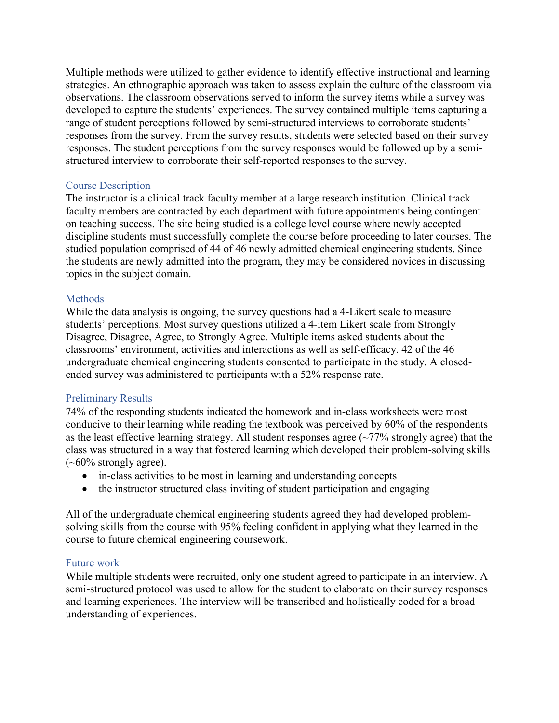Multiple methods were utilized to gather evidence to identify effective instructional and learning strategies. An ethnographic approach was taken to assess explain the culture of the classroom via observations. The classroom observations served to inform the survey items while a survey was developed to capture the students' experiences. The survey contained multiple items capturing a range of student perceptions followed by semi-structured interviews to corroborate students' responses from the survey. From the survey results, students were selected based on their survey responses. The student perceptions from the survey responses would be followed up by a semistructured interview to corroborate their self-reported responses to the survey.

## Course Description

The instructor is a clinical track faculty member at a large research institution. Clinical track faculty members are contracted by each department with future appointments being contingent on teaching success. The site being studied is a college level course where newly accepted discipline students must successfully complete the course before proceeding to later courses. The studied population comprised of 44 of 46 newly admitted chemical engineering students. Since the students are newly admitted into the program, they may be considered novices in discussing topics in the subject domain.

## **Methods**

While the data analysis is ongoing, the survey questions had a 4-Likert scale to measure students' perceptions. Most survey questions utilized a 4-item Likert scale from Strongly Disagree, Disagree, Agree, to Strongly Agree. Multiple items asked students about the classrooms' environment, activities and interactions as well as self-efficacy. 42 of the 46 undergraduate chemical engineering students consented to participate in the study. A closedended survey was administered to participants with a 52% response rate.

## Preliminary Results

74% of the responding students indicated the homework and in-class worksheets were most conducive to their learning while reading the textbook was perceived by 60% of the respondents as the least effective learning strategy. All student responses agree (~77% strongly agree) that the class was structured in a way that fostered learning which developed their problem-solving skills  $(-60\%$  strongly agree).

- in-class activities to be most in learning and understanding concepts
- the instructor structured class inviting of student participation and engaging

All of the undergraduate chemical engineering students agreed they had developed problemsolving skills from the course with 95% feeling confident in applying what they learned in the course to future chemical engineering coursework.

## Future work

While multiple students were recruited, only one student agreed to participate in an interview. A semi-structured protocol was used to allow for the student to elaborate on their survey responses and learning experiences. The interview will be transcribed and holistically coded for a broad understanding of experiences.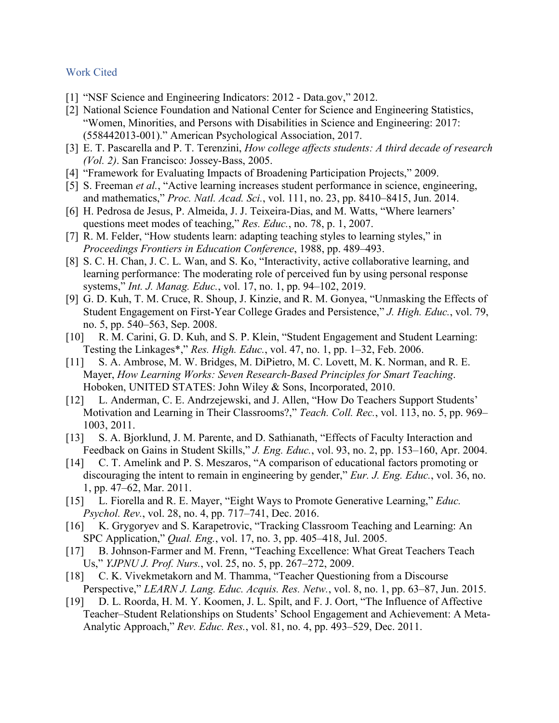#### Work Cited

- [1] "NSF Science and Engineering Indicators: 2012 Data.gov," 2012.
- [2] National Science Foundation and National Center for Science and Engineering Statistics, "Women, Minorities, and Persons with Disabilities in Science and Engineering: 2017: (558442013-001)." American Psychological Association, 2017.
- [3] E. T. Pascarella and P. T. Terenzini, *How college affects students: A third decade of research (Vol. 2)*. San Francisco: Jossey-Bass, 2005.
- [4] "Framework for Evaluating Impacts of Broadening Participation Projects," 2009.
- [5] S. Freeman *et al.*, "Active learning increases student performance in science, engineering, and mathematics," *Proc. Natl. Acad. Sci.*, vol. 111, no. 23, pp. 8410–8415, Jun. 2014.
- [6] H. Pedrosa de Jesus, P. Almeida, J. J. Teixeira-Dias, and M. Watts, "Where learners' questions meet modes of teaching," *Res. Educ.*, no. 78, p. 1, 2007.
- [7] R. M. Felder, "How students learn: adapting teaching styles to learning styles," in *Proceedings Frontiers in Education Conference*, 1988, pp. 489–493.
- [8] S. C. H. Chan, J. C. L. Wan, and S. Ko, "Interactivity, active collaborative learning, and learning performance: The moderating role of perceived fun by using personal response systems," *Int. J. Manag. Educ.*, vol. 17, no. 1, pp. 94–102, 2019.
- [9] G. D. Kuh, T. M. Cruce, R. Shoup, J. Kinzie, and R. M. Gonyea, "Unmasking the Effects of Student Engagement on First-Year College Grades and Persistence," *J. High. Educ.*, vol. 79, no. 5, pp. 540–563, Sep. 2008.
- [10] R. M. Carini, G. D. Kuh, and S. P. Klein, "Student Engagement and Student Learning: Testing the Linkages\*," *Res. High. Educ.*, vol. 47, no. 1, pp. 1–32, Feb. 2006.
- [11] S. A. Ambrose, M. W. Bridges, M. DiPietro, M. C. Lovett, M. K. Norman, and R. E. Mayer, *How Learning Works: Seven Research-Based Principles for Smart Teaching*. Hoboken, UNITED STATES: John Wiley & Sons, Incorporated, 2010.
- [12] L. Anderman, C. E. Andrzejewski, and J. Allen, "How Do Teachers Support Students' Motivation and Learning in Their Classrooms?," *Teach. Coll. Rec.*, vol. 113, no. 5, pp. 969– 1003, 2011.
- [13] S. A. Bjorklund, J. M. Parente, and D. Sathianath, "Effects of Faculty Interaction and Feedback on Gains in Student Skills," *J. Eng. Educ.*, vol. 93, no. 2, pp. 153–160, Apr. 2004.
- [14] C. T. Amelink and P. S. Meszaros, "A comparison of educational factors promoting or discouraging the intent to remain in engineering by gender," *Eur. J. Eng. Educ.*, vol. 36, no. 1, pp. 47–62, Mar. 2011.
- [15] L. Fiorella and R. E. Mayer, "Eight Ways to Promote Generative Learning," *Educ. Psychol. Rev.*, vol. 28, no. 4, pp. 717–741, Dec. 2016.
- [16] K. Grygoryev and S. Karapetrovic, "Tracking Classroom Teaching and Learning: An SPC Application," *Qual. Eng.*, vol. 17, no. 3, pp. 405–418, Jul. 2005.
- [17] B. Johnson-Farmer and M. Frenn, "Teaching Excellence: What Great Teachers Teach Us," *YJPNU J. Prof. Nurs.*, vol. 25, no. 5, pp. 267–272, 2009.
- [18] C. K. Vivekmetakorn and M. Thamma, "Teacher Questioning from a Discourse Perspective," *LEARN J. Lang. Educ. Acquis. Res. Netw.*, vol. 8, no. 1, pp. 63–87, Jun. 2015.
- [19] D. L. Roorda, H. M. Y. Koomen, J. L. Spilt, and F. J. Oort, "The Influence of Affective Teacher–Student Relationships on Students' School Engagement and Achievement: A Meta-Analytic Approach," *Rev. Educ. Res.*, vol. 81, no. 4, pp. 493–529, Dec. 2011.